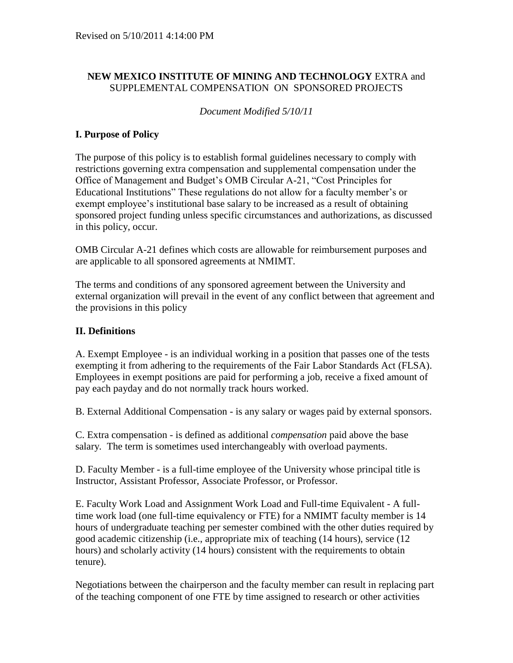## **NEW MEXICO INSTITUTE OF MINING AND TECHNOLOGY** EXTRA and SUPPLEMENTAL COMPENSATION ON SPONSORED PROJECTS

*Document Modified 5/10/11*

## **I. Purpose of Policy**

The purpose of this policy is to establish formal guidelines necessary to comply with restrictions governing extra compensation and supplemental compensation under the Office of Management and Budget's OMB Circular A-21, "Cost Principles for Educational Institutions" These regulations do not allow for a faculty member's or exempt employee's institutional base salary to be increased as a result of obtaining sponsored project funding unless specific circumstances and authorizations, as discussed in this policy, occur.

OMB Circular A-21 defines which costs are allowable for reimbursement purposes and are applicable to all sponsored agreements at NMIMT.

The terms and conditions of any sponsored agreement between the University and external organization will prevail in the event of any conflict between that agreement and the provisions in this policy

## **II. Definitions**

A. Exempt Employee - is an individual working in a position that passes one of the tests exempting it from adhering to the requirements of the Fair Labor Standards Act (FLSA). Employees in exempt positions are paid for performing a job, receive a fixed amount of pay each payday and do not normally track hours worked.

B. External Additional Compensation - is any salary or wages paid by external sponsors.

C. Extra compensation - is defined as additional *compensation* paid above the base salary*.* The term is sometimes used interchangeably with overload payments.

D. Faculty Member - is a full-time employee of the University whose principal title is Instructor, Assistant Professor, Associate Professor, or Professor.

E. Faculty Work Load and Assignment Work Load and Full-time Equivalent - A fulltime work load (one full-time equivalency or FTE) for a NMIMT faculty member is 14 hours of undergraduate teaching per semester combined with the other duties required by good academic citizenship (i.e., appropriate mix of teaching (14 hours), service (12 hours) and scholarly activity (14 hours) consistent with the requirements to obtain tenure).

Negotiations between the chairperson and the faculty member can result in replacing part of the teaching component of one FTE by time assigned to research or other activities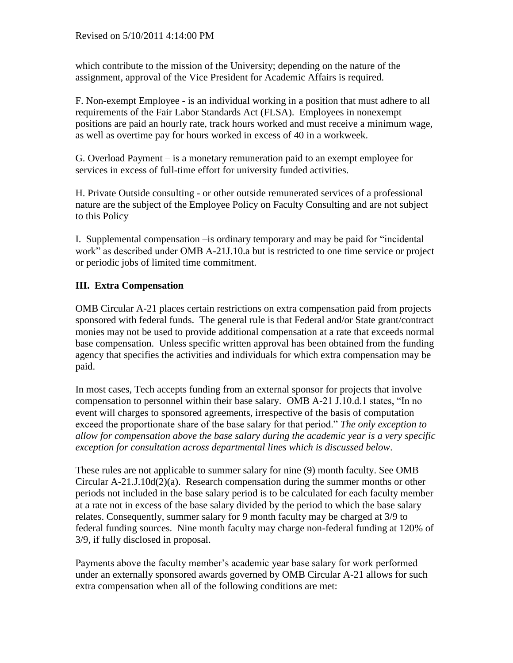which contribute to the mission of the University; depending on the nature of the assignment, approval of the Vice President for Academic Affairs is required.

F. Non-exempt Employee - is an individual working in a position that must adhere to all requirements of the Fair Labor Standards Act (FLSA). Employees in nonexempt positions are paid an hourly rate, track hours worked and must receive a minimum wage, as well as overtime pay for hours worked in excess of 40 in a workweek.

G. Overload Payment – is a monetary remuneration paid to an exempt employee for services in excess of full-time effort for university funded activities.

H. Private Outside consulting - or other outside remunerated services of a professional nature are the subject of the Employee Policy on Faculty Consulting and are not subject to this Policy

I. Supplemental compensation –is ordinary temporary and may be paid for "incidental work" as described under OMB A-21J.10.a but is restricted to one time service or project or periodic jobs of limited time commitment.

# **III. Extra Compensation**

OMB Circular A-21 places certain restrictions on extra compensation paid from projects sponsored with federal funds. The general rule is that Federal and/or State grant/contract monies may not be used to provide additional compensation at a rate that exceeds normal base compensation. Unless specific written approval has been obtained from the funding agency that specifies the activities and individuals for which extra compensation may be paid.

In most cases, Tech accepts funding from an external sponsor for projects that involve compensation to personnel within their base salary. OMB A-21 J.10.d.1 states, "In no event will charges to sponsored agreements, irrespective of the basis of computation exceed the proportionate share of the base salary for that period." *The only exception to allow for compensation above the base salary during the academic year is a very specific exception for consultation across departmental lines which is discussed below*.

These rules are not applicable to summer salary for nine (9) month faculty. See OMB Circular  $A-21.J.10d(2)(a)$ . Research compensation during the summer months or other periods not included in the base salary period is to be calculated for each faculty member at a rate not in excess of the base salary divided by the period to which the base salary relates. Consequently, summer salary for 9 month faculty may be charged at 3/9 to federal funding sources. Nine month faculty may charge non-federal funding at 120% of 3/9, if fully disclosed in proposal.

Payments above the faculty member's academic year base salary for work performed under an externally sponsored awards governed by OMB Circular A-21 allows for such extra compensation when all of the following conditions are met: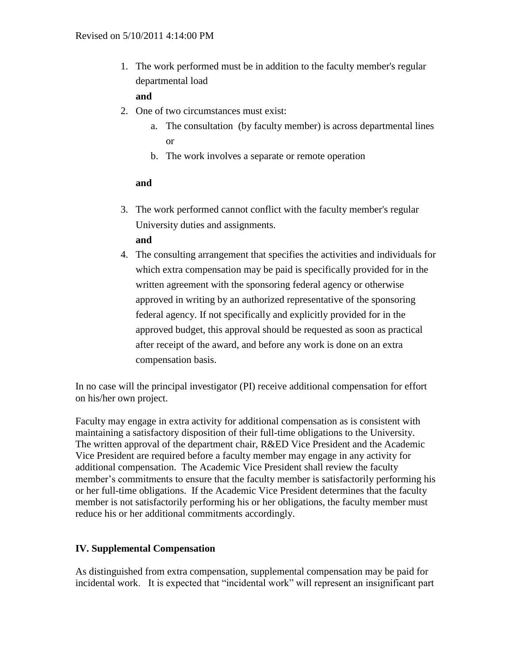1. The work performed must be in addition to the faculty member's regular departmental load

## **and**

- 2. One of two circumstances must exist:
	- a. The consultation (by faculty member) is across departmental lines or
	- b. The work involves a separate or remote operation

#### **and**

- 3. The work performed cannot conflict with the faculty member's regular University duties and assignments.
	- **and**
- 4. The consulting arrangement that specifies the activities and individuals for which extra compensation may be paid is specifically provided for in the written agreement with the sponsoring federal agency or otherwise approved in writing by an authorized representative of the sponsoring federal agency. If not specifically and explicitly provided for in the approved budget, this approval should be requested as soon as practical after receipt of the award, and before any work is done on an extra compensation basis.

In no case will the principal investigator (PI) receive additional compensation for effort on his/her own project.

Faculty may engage in extra activity for additional compensation as is consistent with maintaining a satisfactory disposition of their full-time obligations to the University. The written approval of the department chair, R&ED Vice President and the Academic Vice President are required before a faculty member may engage in any activity for additional compensation. The Academic Vice President shall review the faculty member's commitments to ensure that the faculty member is satisfactorily performing his or her full-time obligations. If the Academic Vice President determines that the faculty member is not satisfactorily performing his or her obligations, the faculty member must reduce his or her additional commitments accordingly.

## **IV. Supplemental Compensation**

As distinguished from extra compensation, supplemental compensation may be paid for incidental work. It is expected that "incidental work" will represent an insignificant part